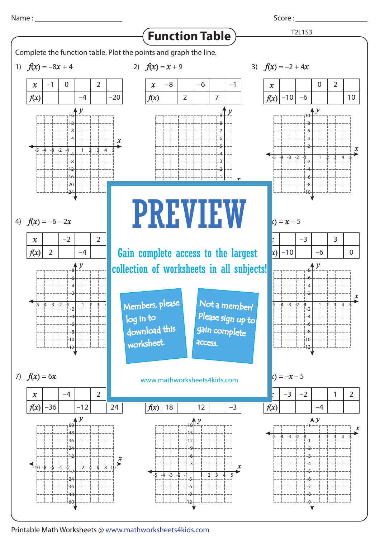Score :

 $f(x) = -x - 5$ *y* 1 -1 -2 -6 -4 -3 -5 -7 -8 -9 *x* -1-2-3-4-5 1 2 3 4 5 2)  $f(x) = x + 9$ 18 *f*(*x*) –8 **Fig. 3** Cain complete access to the largest –4 2 12 –6 1 7 –3 –1 *x*  $\mathcal{A}=\mathcal{A}+\mathcal{A}+\mathcal{A}+\mathcal{A}+\mathcal{A}+\mathcal{A}+\mathcal{A}+\mathcal{A}+\mathcal{A}+\mathcal{A}+\mathcal{A}+\mathcal{A}+\mathcal{A}+\mathcal{A}+\mathcal{A}+\mathcal{A}+\mathcal{A}+\mathcal{A}+\mathcal{A}+\mathcal{A}+\mathcal{A}+\mathcal{A}+\mathcal{A}+\mathcal{A}+\mathcal{A}+\mathcal{A}+\mathcal{A}+\mathcal{A}+\mathcal{A}+\mathcal{A}+\mathcal{A}+\mathcal{A}+\mathcal{A}+\mathcal{A}+\mathcal{A}+\mathcal{$ *y* 9 8 7 4 6 5 3 2 1 *f*(*x*) = 6*x* 2 –1 –36 –2  $\Omega$ –4 –4 –4 –12 2 2 2 –20 24 *y* 60 48 36 12 24  $-\frac{1}{2}$ <sub>12</sub> -36 -24 -48 -60 *x*  $-10 -8 -6 -4 -2$  2 4 6 8  $f(x) = x - 5$ –10 –3 –10 –6 –2 –3  $\Omega$ –4 –6 2 1 3 10 2 0 *x*  $-5$  -4 -3 -2 -1 | 1 2 3 4 5 *y* -6 6 -8 8  $+10$  $+12$ -2 2 -4 4 **Function Table** *x f*(*x*) *x f*(*x*) *x x f*(*x*) *x f*(*x*) *x f*(*x*) *x f*(*x*) *x f*(*x*) 1)  $f(x) = -8x + 4$  2)  $f(x) = x + 9$  3) 4)  $f(x) = -6 - 2x$ 7)  $f(x) = 6x$  www.mathworksheets4kids.com *x* Not a member? *y* collection of worksheets in all subjects! -32  $\mathbf{L}$ please sign up to *x*  $-4 -3 -2 -1$ *y* 9 3 6 18  $\overline{12}$ 15 -6 -3  $\overline{c}$ -12 4)  $f(x) = -6 - 2x$ *x*  $-5$   $-4$   $-5$   $-2$   $-1$   $1$   $2$   $3$   $4$ *y* -6 6 -8 8  $+10$ -12 -2 2 -4 4 *x y* 3)  $f(x) = -2 + 4x$ *x* -1-2-3-4-5 21 3 4 5 *y* -6 6 -8 8  $10$  $\overline{10}$ -2 2 -4 4 T2L1S3 -1-2-3-4-5 21 3 4 5 16  $12$ 8 4  $-12$ -4 -8  $-16$ -20  $_{\text{L24}}^+$ Complete the function table. Plot the points and graph the line. PREVIEW Members, please download this worksheet. log in to gain complete **access** 

Printable Math Worksheets @ www.mathworksheets4kids.com